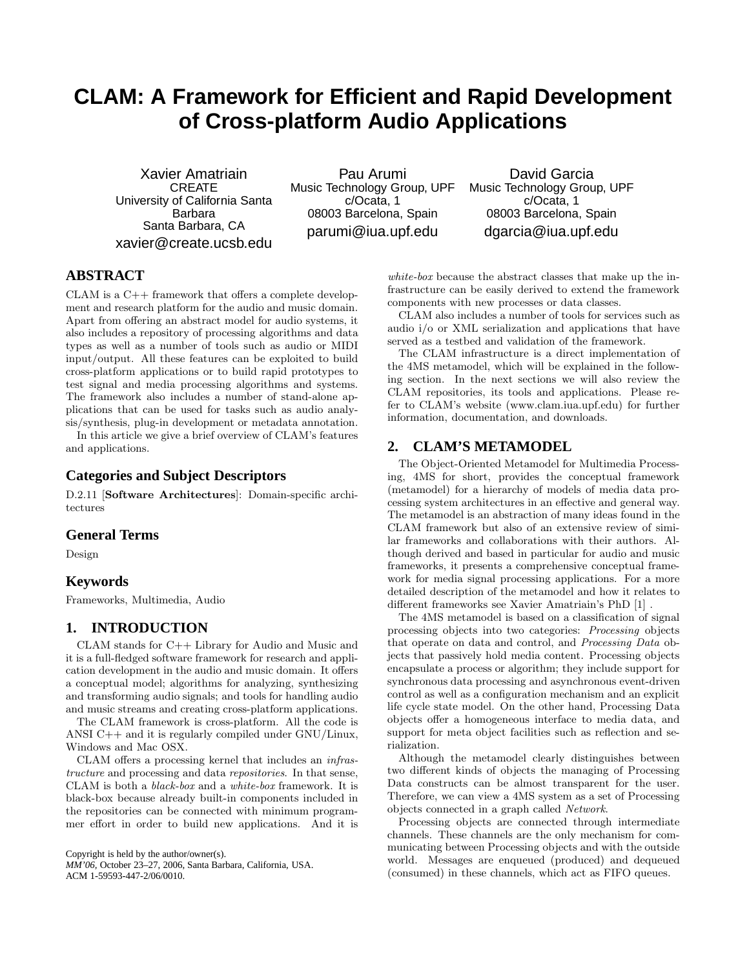# **CLAM: A Framework for Efficient and Rapid Development of Cross-platform Audio Applications**

Xavier Amatriain CREATE University of California Santa Barbara Santa Barbara, CA xavier@create.ucsb.edu

Pau Arumi Music Technology Group, UPF c/Ocata, 1 08003 Barcelona, Spain parumi@iua.upf.edu

David Garcia Music Technology Group, UPF c/Ocata, 1 08003 Barcelona, Spain dgarcia@iua.upf.edu

# **ABSTRACT**

CLAM is a C++ framework that offers a complete development and research platform for the audio and music domain. Apart from offering an abstract model for audio systems, it also includes a repository of processing algorithms and data types as well as a number of tools such as audio or MIDI input/output. All these features can be exploited to build cross-platform applications or to build rapid prototypes to test signal and media processing algorithms and systems. The framework also includes a number of stand-alone applications that can be used for tasks such as audio analysis/synthesis, plug-in development or metadata annotation.

In this article we give a brief overview of CLAM's features and applications.

#### **Categories and Subject Descriptors**

D.2.11 [Software Architectures]: Domain-specific architectures

#### **General Terms**

Design

## **Keywords**

Frameworks, Multimedia, Audio

## **1. INTRODUCTION**

CLAM stands for C++ Library for Audio and Music and it is a full-fledged software framework for research and application development in the audio and music domain. It offers a conceptual model; algorithms for analyzing, synthesizing and transforming audio signals; and tools for handling audio and music streams and creating cross-platform applications.

The CLAM framework is cross-platform. All the code is ANSI C++ and it is regularly compiled under GNU/Linux, Windows and Mac OSX.

CLAM offers a processing kernel that includes an infrastructure and processing and data repositories. In that sense, CLAM is both a black-box and a white-box framework. It is black-box because already built-in components included in the repositories can be connected with minimum programmer effort in order to build new applications. And it is

Copyright is held by the author/owner(s). *MM'06,* October 23–27, 2006, Santa Barbara, California, USA. ACM 1-59593-447-2/06/0010.

white-box because the abstract classes that make up the infrastructure can be easily derived to extend the framework components with new processes or data classes.

CLAM also includes a number of tools for services such as audio i/o or XML serialization and applications that have served as a testbed and validation of the framework.

The CLAM infrastructure is a direct implementation of the 4MS metamodel, which will be explained in the following section. In the next sections we will also review the CLAM repositories, its tools and applications. Please refer to CLAM's website (www.clam.iua.upf.edu) for further information, documentation, and downloads.

#### **2. CLAM'S METAMODEL**

The Object-Oriented Metamodel for Multimedia Processing, 4MS for short, provides the conceptual framework (metamodel) for a hierarchy of models of media data processing system architectures in an effective and general way. The metamodel is an abstraction of many ideas found in the CLAM framework but also of an extensive review of similar frameworks and collaborations with their authors. Although derived and based in particular for audio and music frameworks, it presents a comprehensive conceptual framework for media signal processing applications. For a more detailed description of the metamodel and how it relates to different frameworks see Xavier Amatriain's PhD [1] .

The 4MS metamodel is based on a classification of signal processing objects into two categories: Processing objects that operate on data and control, and Processing Data objects that passively hold media content. Processing objects encapsulate a process or algorithm; they include support for synchronous data processing and asynchronous event-driven control as well as a configuration mechanism and an explicit life cycle state model. On the other hand, Processing Data objects offer a homogeneous interface to media data, and support for meta object facilities such as reflection and serialization.

Although the metamodel clearly distinguishes between two different kinds of objects the managing of Processing Data constructs can be almost transparent for the user. Therefore, we can view a 4MS system as a set of Processing objects connected in a graph called Network.

Processing objects are connected through intermediate channels. These channels are the only mechanism for communicating between Processing objects and with the outside world. Messages are enqueued (produced) and dequeued (consumed) in these channels, which act as FIFO queues.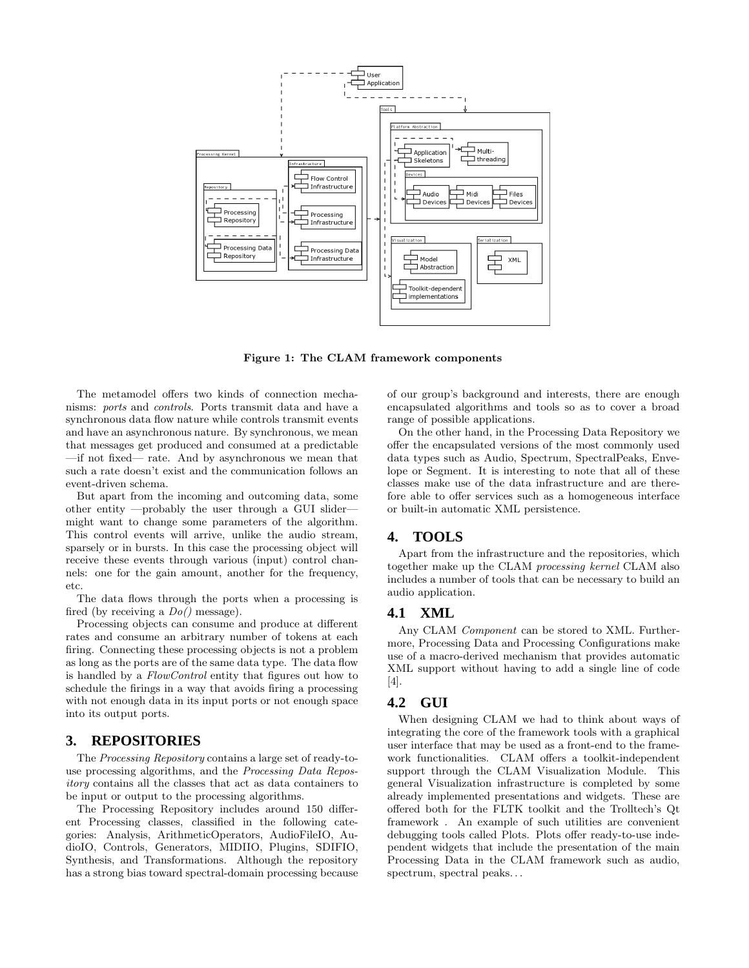

Figure 1: The CLAM framework components

The metamodel offers two kinds of connection mechanisms: ports and controls. Ports transmit data and have a synchronous data flow nature while controls transmit events and have an asynchronous nature. By synchronous, we mean that messages get produced and consumed at a predictable —if not fixed— rate. And by asynchronous we mean that such a rate doesn't exist and the communication follows an event-driven schema.

But apart from the incoming and outcoming data, some other entity —probably the user through a GUI slider might want to change some parameters of the algorithm. This control events will arrive, unlike the audio stream, sparsely or in bursts. In this case the processing object will receive these events through various (input) control channels: one for the gain amount, another for the frequency, etc.

The data flows through the ports when a processing is fired (by receiving a  $Do()$  message).

Processing objects can consume and produce at different rates and consume an arbitrary number of tokens at each firing. Connecting these processing objects is not a problem as long as the ports are of the same data type. The data flow is handled by a FlowControl entity that figures out how to schedule the firings in a way that avoids firing a processing with not enough data in its input ports or not enough space into its output ports.

#### **3. REPOSITORIES**

The Processing Repository contains a large set of ready-touse processing algorithms, and the Processing Data Repository contains all the classes that act as data containers to be input or output to the processing algorithms.

The Processing Repository includes around 150 different Processing classes, classified in the following categories: Analysis, ArithmeticOperators, AudioFileIO, AudioIO, Controls, Generators, MIDIIO, Plugins, SDIFIO, Synthesis, and Transformations. Although the repository has a strong bias toward spectral-domain processing because of our group's background and interests, there are enough encapsulated algorithms and tools so as to cover a broad range of possible applications.

On the other hand, in the Processing Data Repository we offer the encapsulated versions of the most commonly used data types such as Audio, Spectrum, SpectralPeaks, Envelope or Segment. It is interesting to note that all of these classes make use of the data infrastructure and are therefore able to offer services such as a homogeneous interface or built-in automatic XML persistence.

#### **4. TOOLS**

Apart from the infrastructure and the repositories, which together make up the CLAM processing kernel CLAM also includes a number of tools that can be necessary to build an audio application.

#### **4.1 XML**

Any CLAM Component can be stored to XML. Furthermore, Processing Data and Processing Configurations make use of a macro-derived mechanism that provides automatic XML support without having to add a single line of code [4].

## **4.2 GUI**

When designing CLAM we had to think about ways of integrating the core of the framework tools with a graphical user interface that may be used as a front-end to the framework functionalities. CLAM offers a toolkit-independent support through the CLAM Visualization Module. This general Visualization infrastructure is completed by some already implemented presentations and widgets. These are offered both for the FLTK toolkit and the Trolltech's Qt framework . An example of such utilities are convenient debugging tools called Plots. Plots offer ready-to-use independent widgets that include the presentation of the main Processing Data in the CLAM framework such as audio, spectrum, spectral peaks. . .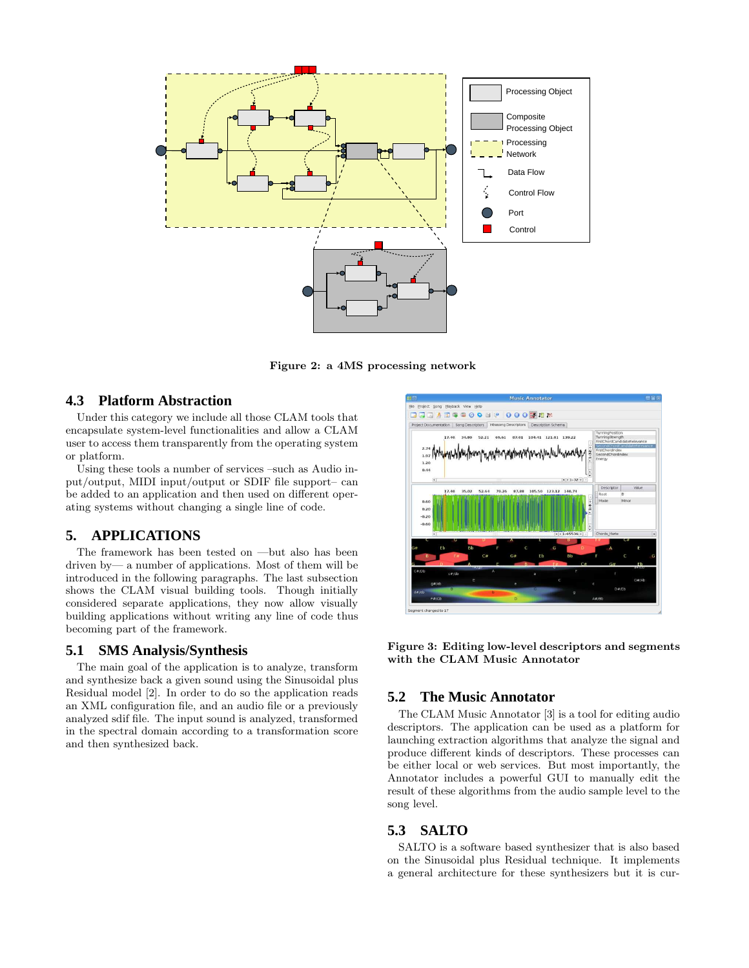

Figure 2: a 4MS processing network

## **4.3 Platform Abstraction**

Under this category we include all those CLAM tools that encapsulate system-level functionalities and allow a CLAM user to access them transparently from the operating system or platform.

Using these tools a number of services –such as Audio input/output, MIDI input/output or SDIF file support– can be added to an application and then used on different operating systems without changing a single line of code.

#### **5. APPLICATIONS**

The framework has been tested on —but also has been driven by— a number of applications. Most of them will be introduced in the following paragraphs. The last subsection shows the CLAM visual building tools. Though initially considered separate applications, they now allow visually building applications without writing any line of code thus becoming part of the framework.

#### **5.1 SMS Analysis/Synthesis**

The main goal of the application is to analyze, transform and synthesize back a given sound using the Sinusoidal plus Residual model [2]. In order to do so the application reads an XML configuration file, and an audio file or a previously analyzed sdif file. The input sound is analyzed, transformed in the spectral domain according to a transformation score and then synthesized back.



Figure 3: Editing low-level descriptors and segments with the CLAM Music Annotator

#### **5.2 The Music Annotator**

The CLAM Music Annotator [3] is a tool for editing audio descriptors. The application can be used as a platform for launching extraction algorithms that analyze the signal and produce different kinds of descriptors. These processes can be either local or web services. But most importantly, the Annotator includes a powerful GUI to manually edit the result of these algorithms from the audio sample level to the song level.

#### **5.3 SALTO**

SALTO is a software based synthesizer that is also based on the Sinusoidal plus Residual technique. It implements a general architecture for these synthesizers but it is cur